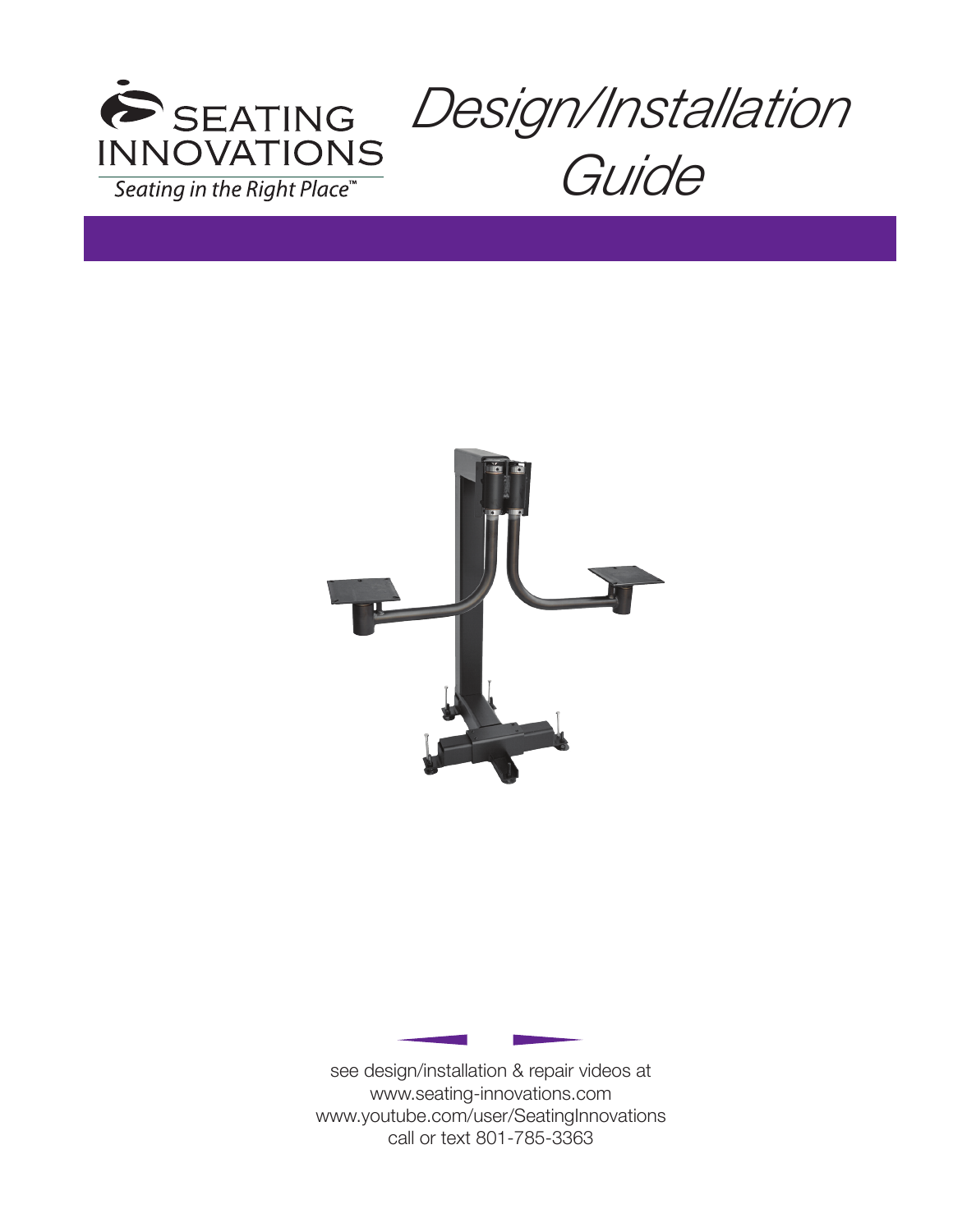





see design/installation & repair videos at www.seating-innovations.com www.youtube.com/user/SeatingInnovations call or text 801-785-3363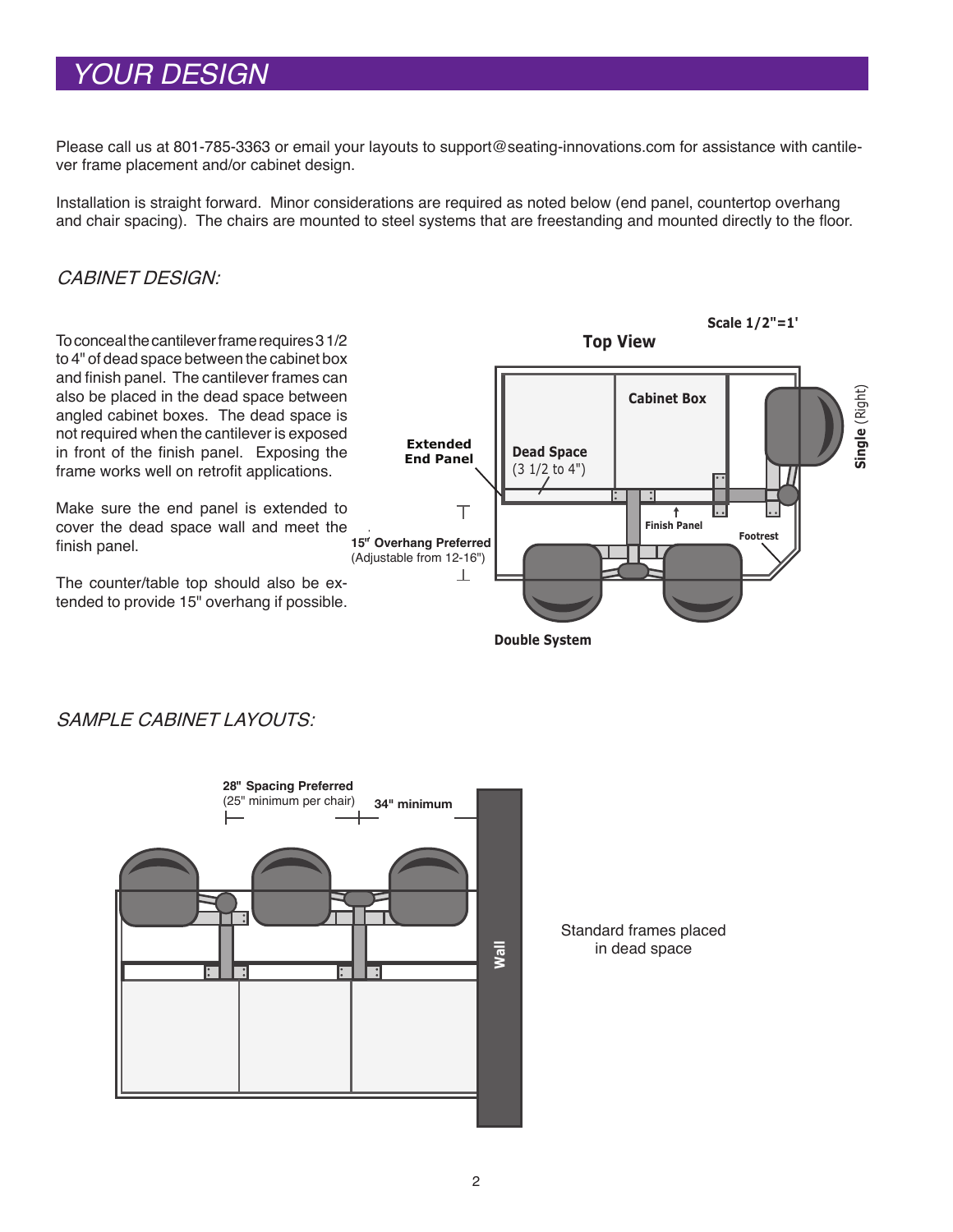# *YOUR DESIGN*

Please call us at 801-785-3363 or email your layouts to support@seating-innovations.com for assistance with cantilever frame placement and/or cabinet design.

Installation is straight forward. Minor considerations are required as noted below (end panel, countertop overhang and chair spacing). The chairs are mounted to steel systems that are freestanding and mounted directly to the floor.

## CABINET DESIGN:

To conceal the cantilever frame requires 3 1/2 to 4" of dead space between the cabinet box and finish panel. The cantilever frames can also be placed in the dead space between angled cabinet boxes. The dead space is not required when the cantilever is exposed in front of the finish panel. Exposing the frame works well on retrofit applications.

Make sure the end panel is extended to cover the dead space wall and meet the finish panel.

The counter/table top should also be extended to provide 15" overhang if possible.



SAMPLE CABINET LAYOUTS:



Standard frames placed in dead space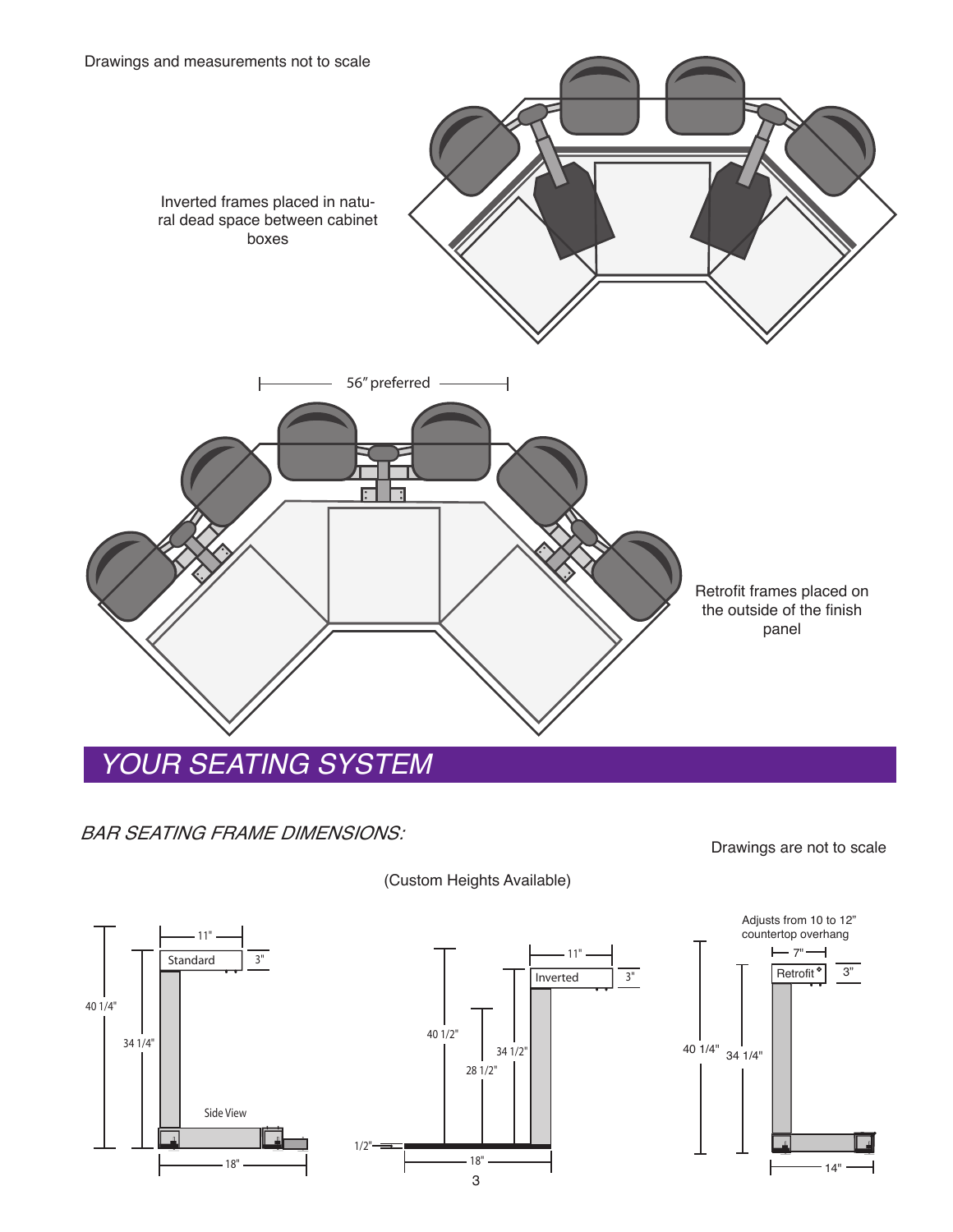

## BAR SEATING FRAME DIMENSIONS:

### (Custom Heights Available)



Drawings are not to scale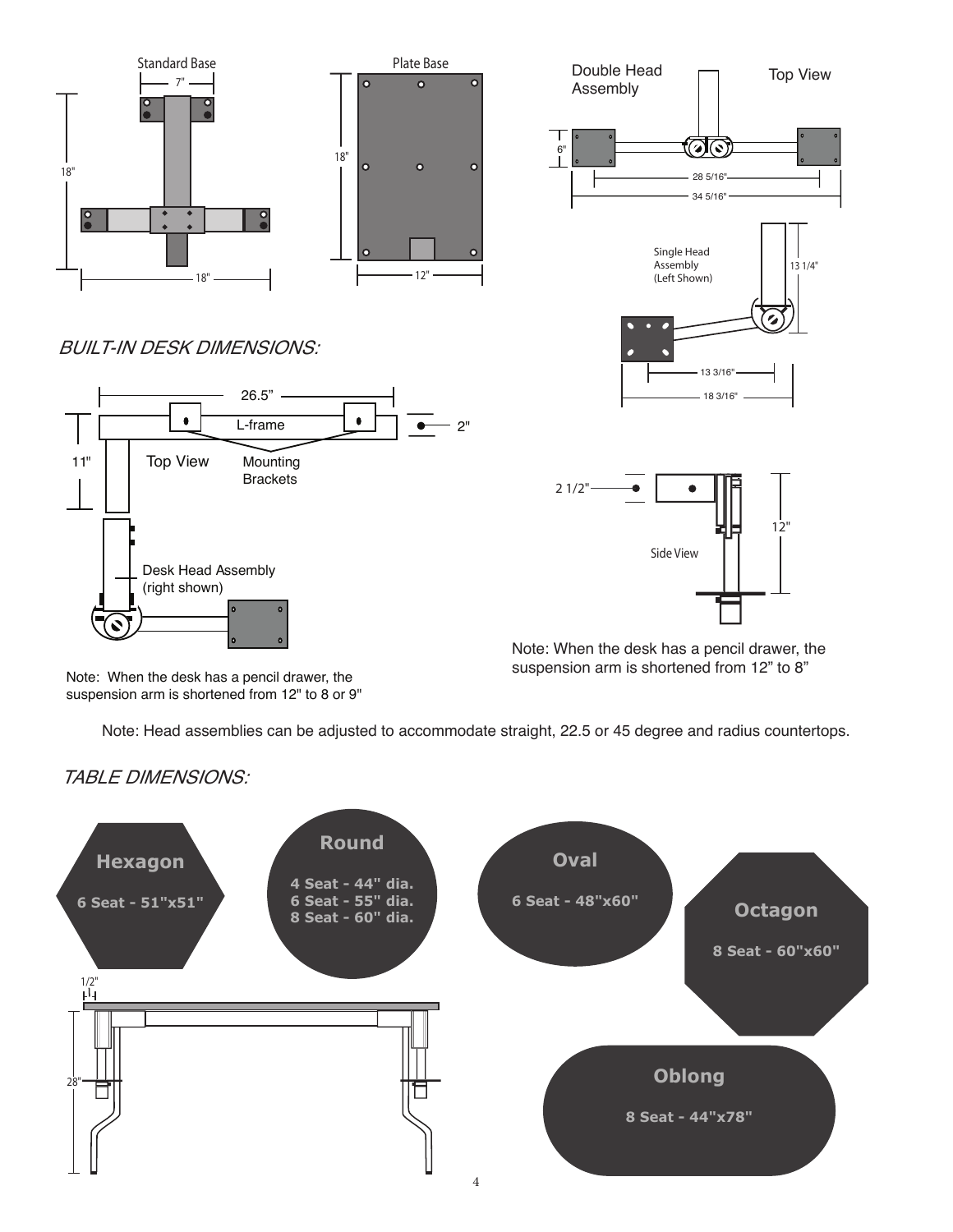



### BUILT-IN DESK DIMENSIONS:





Note: When the desk has a pencil drawer, the suspension arm is shortened from 12" to 8"

Note: When the desk has a pencil drawer, the suspension arm is shortened from 12" to 8 or 9"

Note: Head assemblies can be adjusted to accommodate straight, 22.5 or 45 degree and radius countertops.

 $\circ$ 



## TABLE DIMENSIONS: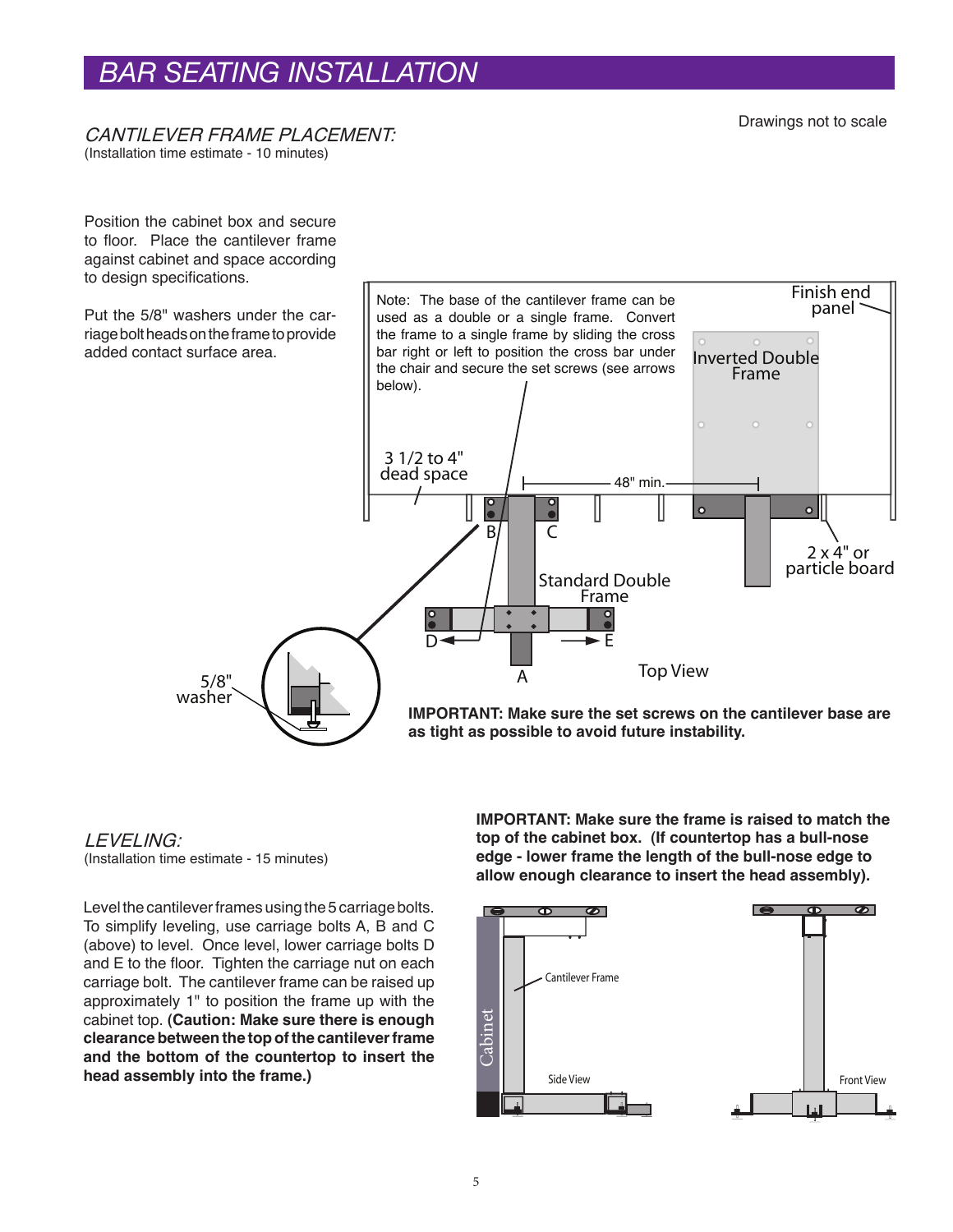## *BAR SEATING INSTALLATION*

#### CANTILEVER FRAME PLACEMENT:

(Installation time estimate - 10 minutes)

Position the cabinet box and secure to floor. Place the cantilever frame against cabinet and space according to design specifications.

Put the 5/8" washers under the carriage bolt heads on the frame to provide added contact surface area.



**as tight as possible to avoid future instability.**

### LEVELING:

(Installation time estimate - 15 minutes)

Level the cantilever frames using the 5 carriage bolts. To simplify leveling, use carriage bolts A, B and C (above) to level. Once level, lower carriage bolts D and E to the floor. Tighten the carriage nut on each carriage bolt. The cantilever frame can be raised up approximately 1" to position the frame up with the cabinet top. **(Caution: Make sure there is enough clearance between the top of the cantilever frame and the bottom of the countertop to insert the head assembly into the frame.)**

**IMPORTANT: Make sure the frame is raised to match the top of the cabinet box. (If countertop has a bull-nose edge - lower frame the length of the bull-nose edge to allow enough clearance to insert the head assembly).**

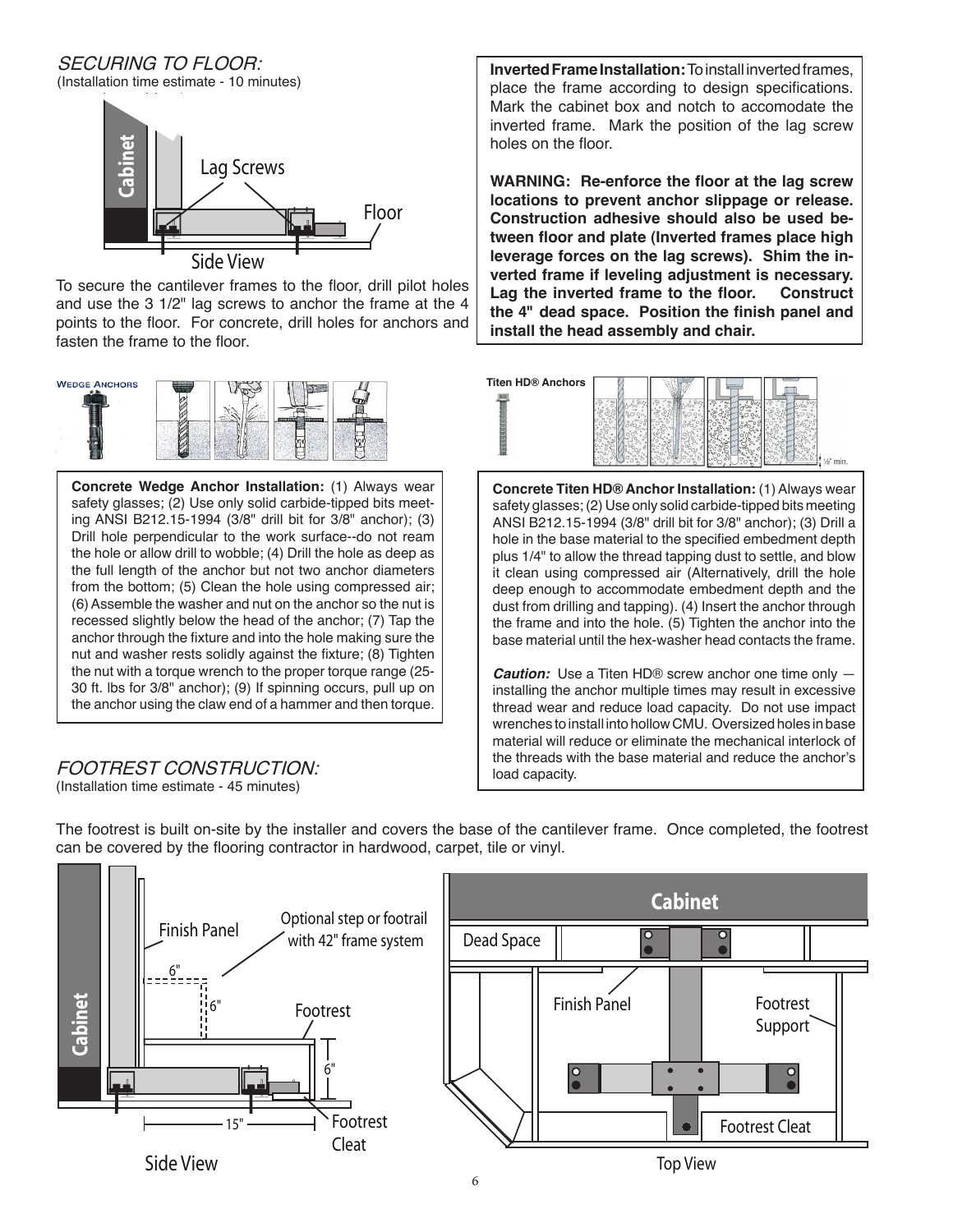SECURING TO FLOOR: (Installation time estimate - 10 minutes)



To secure the cantilever frames to the floor, drill pilot holes and use the 3 1/2" lag screws to anchor the frame at the 4 points to the floor. For concrete, drill holes for anchors and fasten the frame to the floor.



**Concrete Wedge Anchor Installation:** (1) Always wear safety glasses; (2) Use only solid carbide-tipped bits meeting ANSI B212.15-1994 (3/8" drill bit for 3/8" anchor); (3) Drill hole perpendicular to the work surface--do not ream the hole or allow drill to wobble; (4) Drill the hole as deep as the full length of the anchor but not two anchor diameters from the bottom; (5) Clean the hole using compressed air; (6) Assemble the washer and nut on the anchor so the nut is recessed slightly below the head of the anchor; (7) Tap the anchor through the fixture and into the hole making sure the nut and washer rests solidly against the fixture; (8) Tighten the nut with a torque wrench to the proper torque range (25- 30 ft. lbs for 3/8" anchor); (9) If spinning occurs, pull up on the anchor using the claw end of a hammer and then torque.

#### FOOTREST CONSTRUCTION: (Installation time estimate - 45 minutes)

**Inverted Frame Installation:** To install inverted frames, place the frame according to design specifications. Mark the cabinet box and notch to accomodate the inverted frame. Mark the position of the lag screw holes on the floor.

**WARNING: Re-enforce the floor at the lag screw locations to prevent anchor slippage or release. Construction adhesive should also be used between floor and plate (Inverted frames place high leverage forces on the lag screws). Shim the inverted frame if leveling adjustment is necessary. Lag the inverted frame to the floor. Construct the 4" dead space. Position the finish panel and install the head assembly and chair.**



**Concrete Titen HD® Anchor Installation:** (1) Always wear safety glasses; (2) Use only solid carbide-tipped bits meeting ANSI B212.15-1994 (3/8" drill bit for 3/8" anchor); (3) Drill a hole in the base material to the specified embedment depth plus 1/4" to allow the thread tapping dust to settle, and blow it clean using compressed air (Alternatively, drill the hole deep enough to accommodate embedment depth and the dust from drilling and tapping). (4) Insert the anchor through the frame and into the hole. (5) Tighten the anchor into the base material until the hex-washer head contacts the frame.

**Caution:** Use a Titen HD® screw anchor one time only installing the anchor multiple times may result in excessive thread wear and reduce load capacity. Do not use impact wrenches to install into hollow CMU. Oversized holes in base material will reduce or eliminate the mechanical interlock of the threads with the base material and reduce the anchor's load capacity.

Side View **Ca bin et** Finish Panel Footrest Footrest Cleat 6" 6" 6" 15" Optional step or footrail with 42" frame system **Cabinet** Finish Panel Dead Space Footrest Support Footrest Cleat Top View

The footrest is built on-site by the installer and covers the base of the cantilever frame. Once completed, the footrest can be covered by the flooring contractor in hardwood, carpet, tile or vinyl.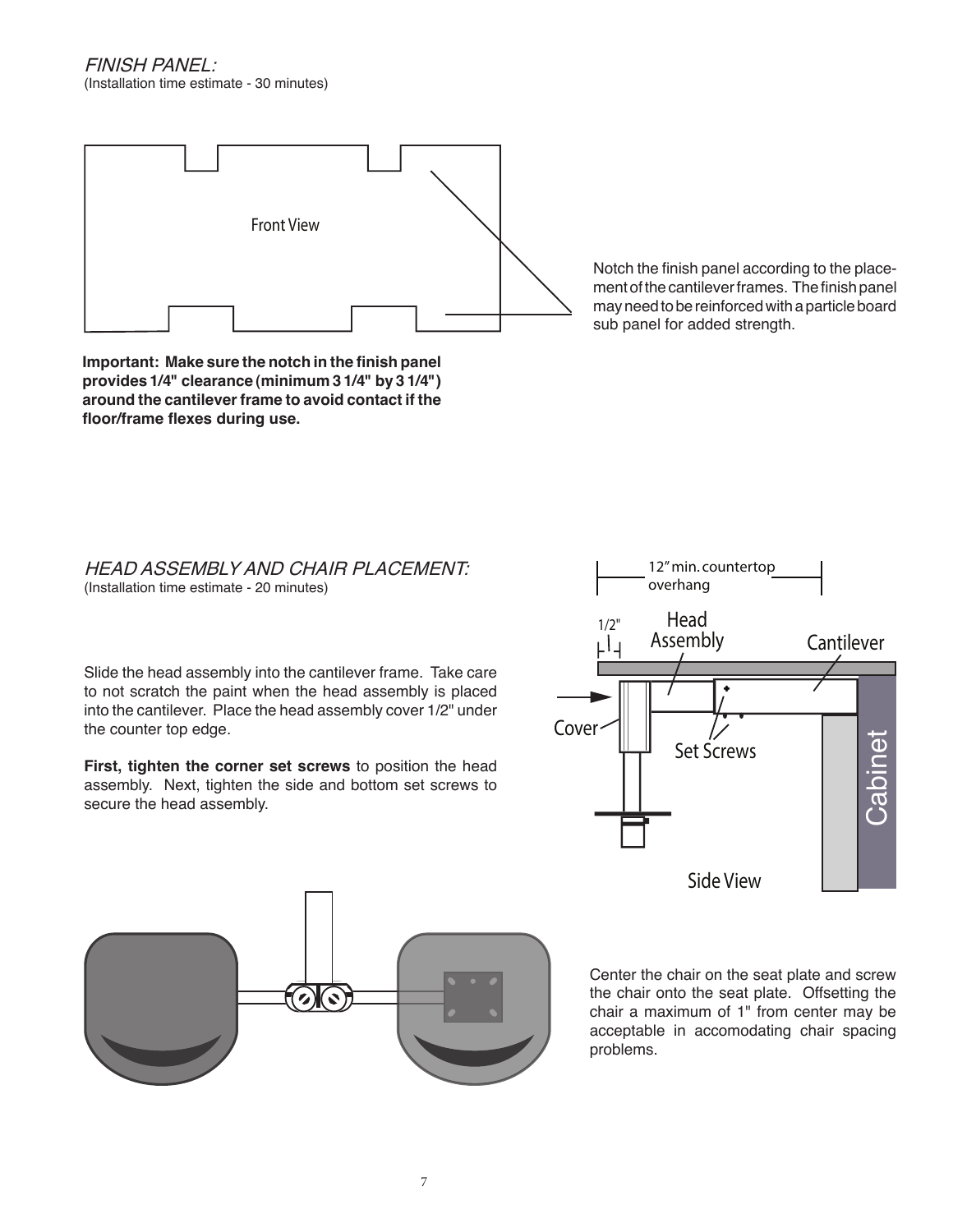FINISH PANEL: (Installation time estimate - 30 minutes)



Notch the finish panel according to the placement of the cantilever frames. The finish panel may need to be reinforced with a particle board sub panel for added strength.

**Important: Make sure the notch in the finish panel provides 1/4" clearance (minimum 3 1/4" by 3 1/4") around the cantilever frame to avoid contact if the floor/frame flexes during use.**

#### HEAD ASSEMBLY AND CHAIR PLACEMENT: (Installation time estimate - 20 minutes)

Slide the head assembly into the cantilever frame. Take care to not scratch the paint when the head assembly is placed into the cantilever. Place the head assembly cover 1/2" under the counter top edge.

**First, tighten the corner set screws** to position the head assembly. Next, tighten the side and bottom set screws to secure the head assembly.

 $\bigcirc$ 







7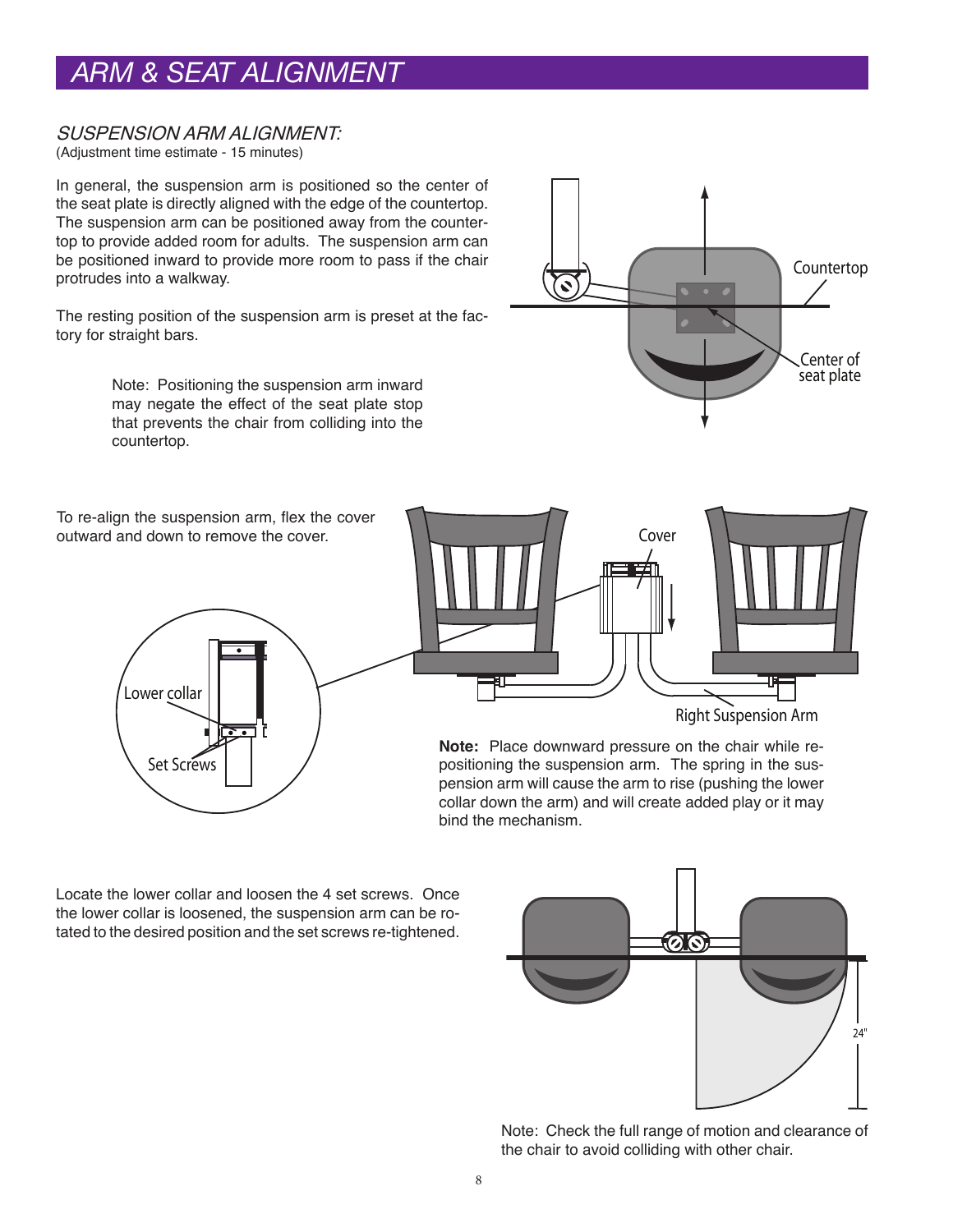# *ARM & SEAT ALIGNMENT*

### SUSPENSION ARM ALIGNMENT:

(Adjustment time estimate - 15 minutes)

In general, the suspension arm is positioned so the center of the seat plate is directly aligned with the edge of the countertop. The suspension arm can be positioned away from the countertop to provide added room for adults. The suspension arm can be positioned inward to provide more room to pass if the chair protrudes into a walkway.

The resting position of the suspension arm is preset at the factory for straight bars.

> Note: Positioning the suspension arm inward may negate the effect of the seat plate stop that prevents the chair from colliding into the countertop.



To re-align the suspension arm, flex the cover outward and down to remove the cover.





**Note:** Place downward pressure on the chair while repositioning the suspension arm. The spring in the suspension arm will cause the arm to rise (pushing the lower collar down the arm) and will create added play or it may bind the mechanism.

Locate the lower collar and loosen the 4 set screws. Once the lower collar is loosened, the suspension arm can be rotated to the desired position and the set screws re-tightened.



Note: Check the full range of motion and clearance of the chair to avoid colliding with other chair.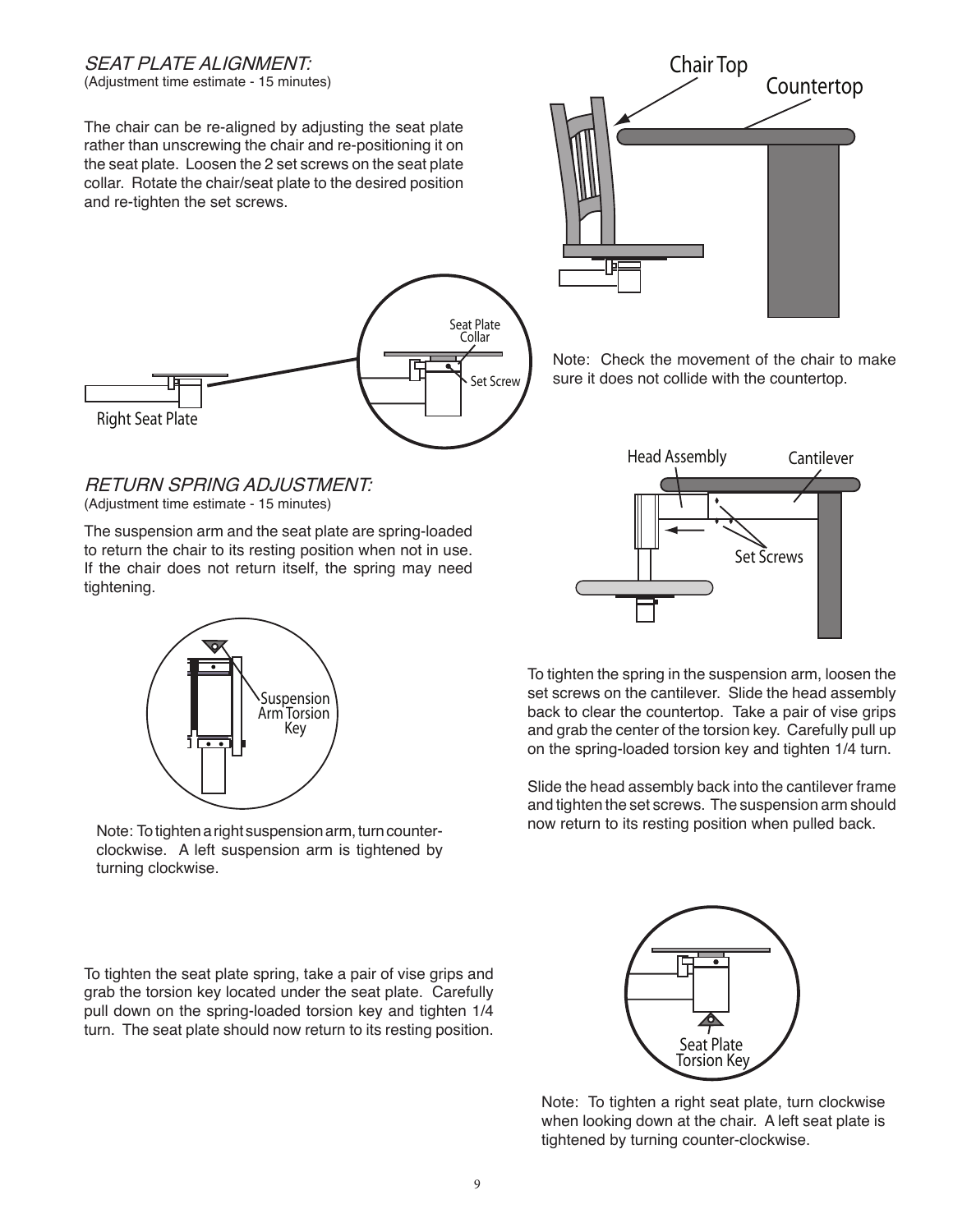## SEAT PLATE ALIGNMENT:

(Adjustment time estimate - 15 minutes)

The chair can be re-aligned by adjusting the seat plate rather than unscrewing the chair and re-positioning it on the seat plate. Loosen the 2 set screws on the seat plate collar. Rotate the chair/seat plate to the desired position and re-tighten the set screws.



#### RETURN SPRING ADJUSTMENT: (Adjustment time estimate - 15 minutes)

The suspension arm and the seat plate are spring-loaded to return the chair to its resting position when not in use. If the chair does not return itself, the spring may need tightening.



Note: To tighten a right suspension arm, turn counterclockwise. A left suspension arm is tightened by turning clockwise.

To tighten the seat plate spring, take a pair of vise grips and grab the torsion key located under the seat plate. Carefully pull down on the spring-loaded torsion key and tighten 1/4 turn. The seat plate should now return to its resting position.



Note: Check the movement of the chair to make sure it does not collide with the countertop.



To tighten the spring in the suspension arm, loosen the set screws on the cantilever. Slide the head assembly back to clear the countertop. Take a pair of vise grips and grab the center of the torsion key. Carefully pull up on the spring-loaded torsion key and tighten 1/4 turn.

Slide the head assembly back into the cantilever frame and tighten the set screws. The suspension arm should now return to its resting position when pulled back.



Note: To tighten a right seat plate, turn clockwise when looking down at the chair. A left seat plate is tightened by turning counter-clockwise.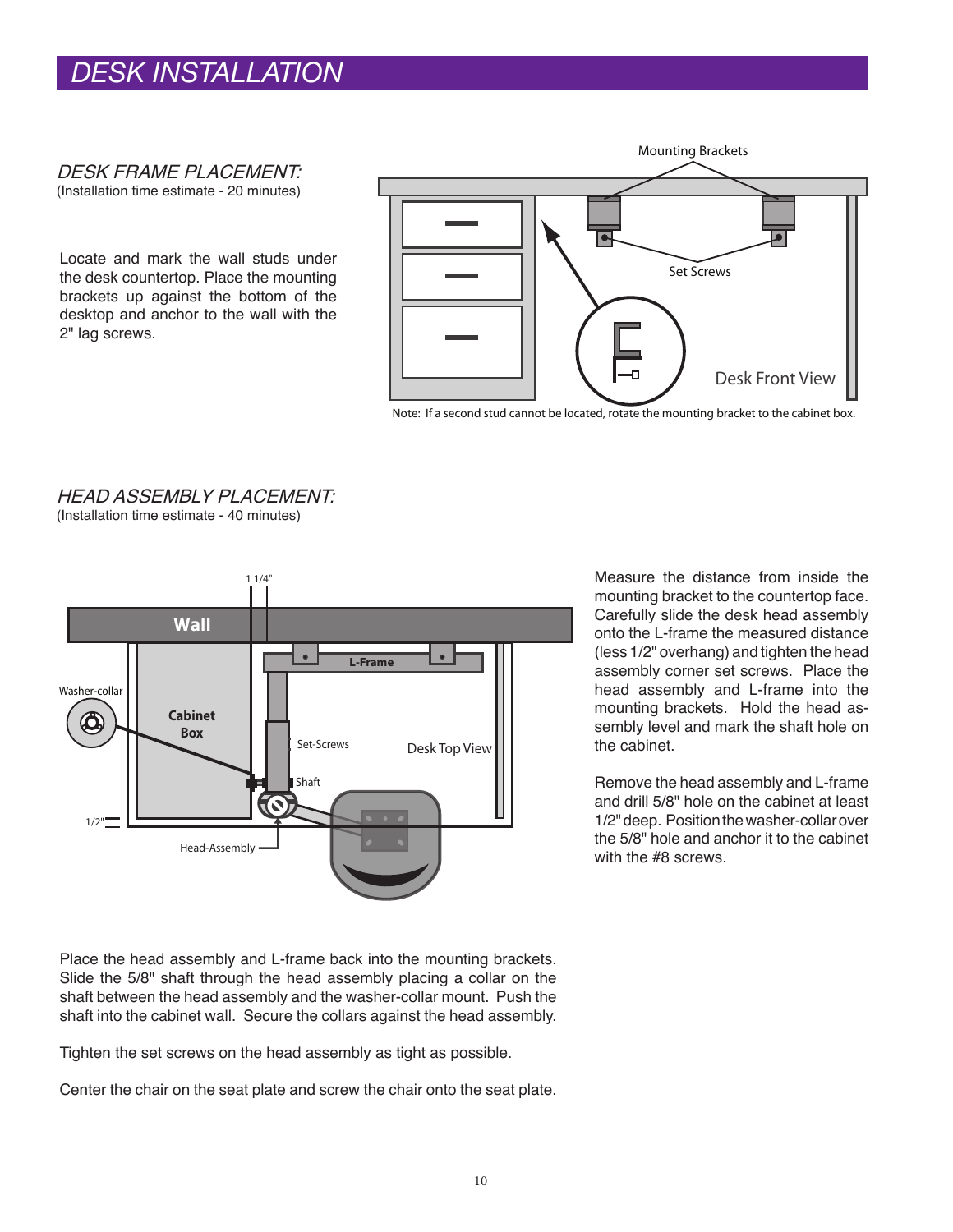# *DESK INSTALLATION*

DESK FRAME PLACEMENT:

(Installation time estimate - 20 minutes)

Locate and mark the wall studs under the desk countertop. Place the mounting brackets up against the bottom of the desktop and anchor to the wall with the 2" lag screws.



HEAD ASSEMBLY PLACEMENT: (Installation time estimate - 40 minutes)



Measure the distance from inside the mounting bracket to the countertop face. Carefully slide the desk head assembly onto the L-frame the measured distance (less 1/2" overhang) and tighten the head assembly corner set screws. Place the head assembly and L-frame into the mounting brackets. Hold the head assembly level and mark the shaft hole on the cabinet.

Remove the head assembly and L-frame and drill 5/8" hole on the cabinet at least 1/2" deep. Position the washer-collar over the 5/8" hole and anchor it to the cabinet with the #8 screws.

Place the head assembly and L-frame back into the mounting brackets. Slide the 5/8" shaft through the head assembly placing a collar on the shaft between the head assembly and the washer-collar mount. Push the shaft into the cabinet wall. Secure the collars against the head assembly.

Tighten the set screws on the head assembly as tight as possible.

Center the chair on the seat plate and screw the chair onto the seat plate.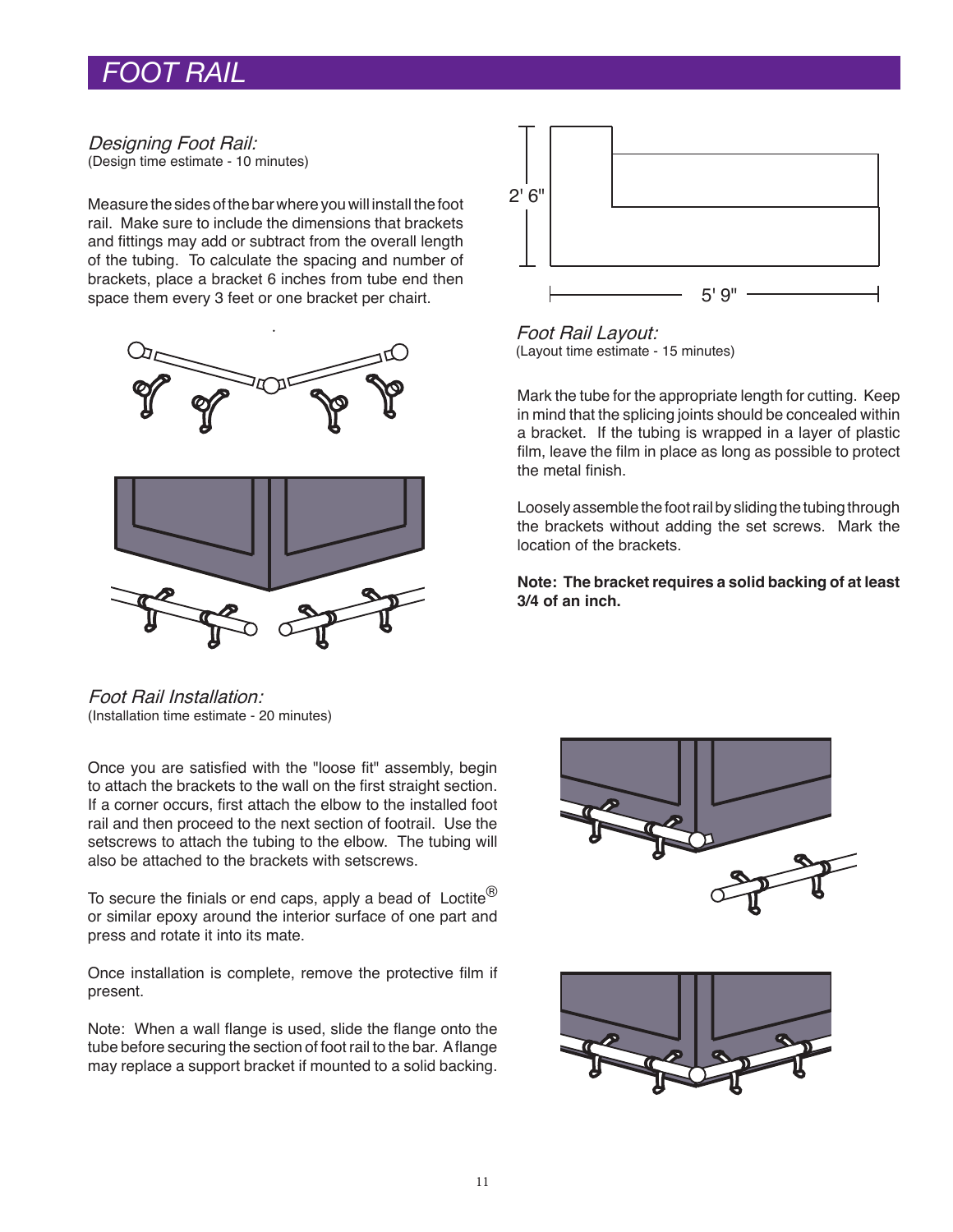## *FOOT RAIL*

#### Designing Foot Rail: (Design time estimate - 10 minutes)

Measure the sides of the bar where you will install the foot rail. Make sure to include the dimensions that brackets and fittings may add or subtract from the overall length of the tubing. To calculate the spacing and number of brackets, place a bracket 6 inches from tube end then space them every 3 feet or one bracket per chairt.





Foot Rail Layout: (Layout time estimate - 15 minutes)

Mark the tube for the appropriate length for cutting. Keep in mind that the splicing joints should be concealed within a bracket. If the tubing is wrapped in a layer of plastic film, leave the film in place as long as possible to protect the metal finish.

Loosely assemble the foot rail by sliding the tubing through the brackets without adding the set screws. Mark the location of the brackets.

**Note: The bracket requires a solid backing of at least 3/4 of an inch.**

Foot Rail Installation: (Installation time estimate - 20 minutes)

Once you are satisfied with the "loose fit" assembly, begin to attach the brackets to the wall on the first straight section. If a corner occurs, first attach the elbow to the installed foot rail and then proceed to the next section of footrail. Use the setscrews to attach the tubing to the elbow. The tubing will also be attached to the brackets with setscrews.

To secure the finials or end caps, apply a bead of Loctite ${}^{\textcircled{\tiny{\textregistered}}}$ or similar epoxy around the interior surface of one part and press and rotate it into its mate.

Once installation is complete, remove the protective film if present.

Note: When a wall flange is used, slide the flange onto the tube before securing the section of foot rail to the bar. A flange may replace a support bracket if mounted to a solid backing.